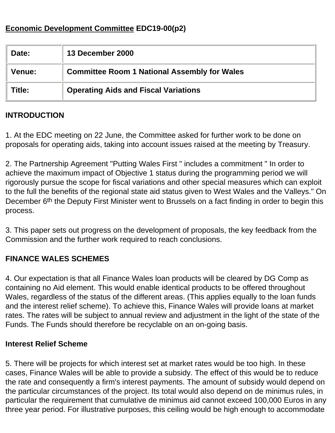## **Economic Development Committee EDC19-00(p2)**

| Date:         | 13 December 2000                                    |
|---------------|-----------------------------------------------------|
| <b>Venue:</b> | <b>Committee Room 1 National Assembly for Wales</b> |
| Title:        | <b>Operating Aids and Fiscal Variations</b>         |

### **INTRODUCTION**

1. At the EDC meeting on 22 June, the Committee asked for further work to be done on proposals for operating aids, taking into account issues raised at the meeting by Treasury.

2. The Partnership Agreement "Putting Wales First " includes a commitment " In order to achieve the maximum impact of Objective 1 status during the programming period we will rigorously pursue the scope for fiscal variations and other special measures which can exploit to the full the benefits of the regional state aid status given to West Wales and the Valleys." On December 6<sup>th</sup> the Deputy First Minister went to Brussels on a fact finding in order to begin this process.

3. This paper sets out progress on the development of proposals, the key feedback from the Commission and the further work required to reach conclusions.

### **FINANCE WALES SCHEMES**

4. Our expectation is that all Finance Wales loan products will be cleared by DG Comp as containing no Aid element. This would enable identical products to be offered throughout Wales, regardless of the status of the different areas. (This applies equally to the loan funds and the interest relief scheme). To achieve this, Finance Wales will provide loans at market rates. The rates will be subject to annual review and adjustment in the light of the state of the Funds. The Funds should therefore be recyclable on an on-going basis.

#### **Interest Relief Scheme**

5. There will be projects for which interest set at market rates would be too high. In these cases, Finance Wales will be able to provide a subsidy. The effect of this would be to reduce the rate and consequently a firm's interest payments. The amount of subsidy would depend on the particular circumstances of the project. Its total would also depend on de minimus rules, in particular the requirement that cumulative de minimus aid cannot exceed 100,000 Euros in any three year period. For illustrative purposes, this ceiling would be high enough to accommodate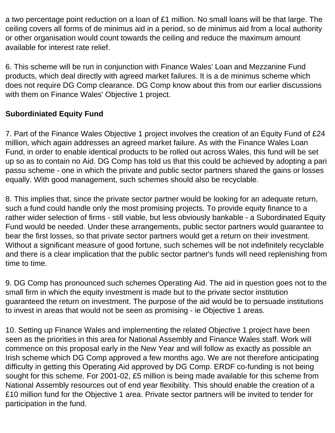a two percentage point reduction on a loan of £1 million. No small loans will be that large. The ceiling covers all forms of de minimus aid in a period, so de minimus aid from a local authority or other organisation would count towards the ceiling and reduce the maximum amount available for interest rate relief.

6. This scheme will be run in conjunction with Finance Wales' Loan and Mezzanine Fund products, which deal directly with agreed market failures. It is a de minimus scheme which does not require DG Comp clearance. DG Comp know about this from our earlier discussions with them on Finance Wales' Objective 1 project.

## **Subordiniated Equity Fund**

7. Part of the Finance Wales Objective 1 project involves the creation of an Equity Fund of £24 million, which again addresses an agreed market failure. As with the Finance Wales Loan Fund, in order to enable identical products to be rolled out across Wales, this fund will be set up so as to contain no Aid. DG Comp has told us that this could be achieved by adopting a pari passu scheme - one in which the private and public sector partners shared the gains or losses equally. With good management, such schemes should also be recyclable.

8. This implies that, since the private sector partner would be looking for an adequate return, such a fund could handle only the most promising projects. To provide equity finance to a rather wider selection of firms - still viable, but less obviously bankable - a Subordinated Equity Fund would be needed. Under these arrangements, public sector partners would guarantee to bear the first losses, so that private sector partners would get a return on their investment. Without a significant measure of good fortune, such schemes will be not indefinitely recyclable and there is a clear implication that the public sector partner's funds will need replenishing from time to time.

9. DG Comp has pronounced such schemes Operating Aid. The aid in question goes not to the small firm in which the equity investment is made but to the private sector institution guaranteed the return on investment. The purpose of the aid would be to persuade institutions to invest in areas that would not be seen as promising - ie Objective 1 areas.

10. Setting up Finance Wales and implementing the related Objective 1 project have been seen as the priorities in this area for National Assembly and Finance Wales staff. Work will commence on this proposal early in the New Year and will follow as exactly as possible an Irish scheme which DG Comp approved a few months ago. We are not therefore anticipating difficulty in getting this Operating Aid approved by DG Comp. ERDF co-funding is not being sought for this scheme. For 2001-02, £5 million is being made available for this scheme from National Assembly resources out of end year flexibility. This should enable the creation of a £10 million fund for the Objective 1 area. Private sector partners will be invited to tender for participation in the fund.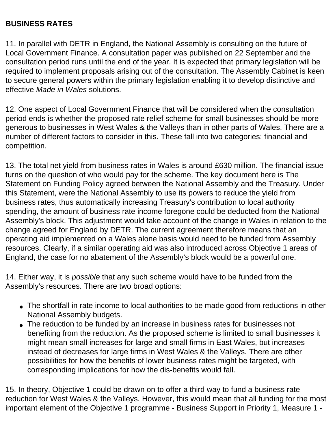### **BUSINESS RATES**

11. In parallel with DETR in England, the National Assembly is consulting on the future of Local Government Finance. A consultation paper was published on 22 September and the consultation period runs until the end of the year. It is expected that primary legislation will be required to implement proposals arising out of the consultation. The Assembly Cabinet is keen to secure general powers within the primary legislation enabling it to develop distinctive and effective *Made in Wales* solutions.

12. One aspect of Local Government Finance that will be considered when the consultation period ends is whether the proposed rate relief scheme for small businesses should be more generous to businesses in West Wales & the Valleys than in other parts of Wales. There are a number of different factors to consider in this. These fall into two categories: financial and competition.

13. The total net yield from business rates in Wales is around £630 million. The financial issue turns on the question of who would pay for the scheme. The key document here is The Statement on Funding Policy agreed between the National Assembly and the Treasury. Under this Statement, were the National Assembly to use its powers to reduce the yield from business rates, thus automatically increasing Treasury's contribution to local authority spending, the amount of business rate income foregone could be deducted from the National Assembly's block. This adjustment would take account of the change in Wales in relation to the change agreed for England by DETR. The current agreement therefore means that an operating aid implemented on a Wales alone basis would need to be funded from Assembly resources. Clearly, if a similar operating aid was also introduced across Objective 1 areas of England, the case for no abatement of the Assembly's block would be a powerful one.

14. Either way, it is *possible* that any such scheme would have to be funded from the Assembly's resources. There are two broad options:

- The shortfall in rate income to local authorities to be made good from reductions in other National Assembly budgets.
- The reduction to be funded by an increase in business rates for businesses not benefiting from the reduction. As the proposed scheme is limited to small businesses it might mean small increases for large and small firms in East Wales, but increases instead of decreases for large firms in West Wales & the Valleys. There are other possibilities for how the benefits of lower business rates might be targeted, with corresponding implications for how the dis-benefits would fall.

15. In theory, Objective 1 could be drawn on to offer a third way to fund a business rate reduction for West Wales & the Valleys. However, this would mean that all funding for the most important element of the Objective 1 programme - Business Support in Priority 1, Measure 1 -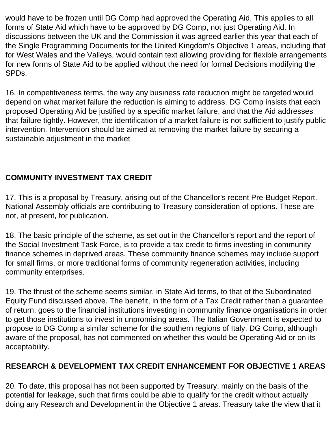would have to be frozen until DG Comp had approved the Operating Aid. This applies to all forms of State Aid which have to be approved by DG Comp, not just Operating Aid. In discussions between the UK and the Commission it was agreed earlier this year that each of the Single Programming Documents for the United Kingdom's Objective 1 areas, including that for West Wales and the Valleys, would contain text allowing providing for flexible arrangements for new forms of State Aid to be applied without the need for formal Decisions modifying the SPDs.

16. In competitiveness terms, the way any business rate reduction might be targeted would depend on what market failure the reduction is aiming to address. DG Comp insists that each proposed Operating Aid be justified by a specific market failure, and that the Aid addresses that failure tightly. However, the identification of a market failure is not sufficient to justify public intervention. Intervention should be aimed at removing the market failure by securing a sustainable adjustment in the market

# **COMMUNITY INVESTMENT TAX CREDIT**

17. This is a proposal by Treasury, arising out of the Chancellor's recent Pre-Budget Report. National Assembly officials are contributing to Treasury consideration of options. These are not, at present, for publication.

18. The basic principle of the scheme, as set out in the Chancellor's report and the report of the Social Investment Task Force, is to provide a tax credit to firms investing in community finance schemes in deprived areas. These community finance schemes may include support for small firms, or more traditional forms of community regeneration activities, including community enterprises.

19. The thrust of the scheme seems similar, in State Aid terms, to that of the Subordinated Equity Fund discussed above. The benefit, in the form of a Tax Credit rather than a guarantee of return, goes to the financial institutions investing in community finance organisations in order to get those institutions to invest in unpromising areas. The Italian Government is expected to propose to DG Comp a similar scheme for the southern regions of Italy. DG Comp, although aware of the proposal, has not commented on whether this would be Operating Aid or on its acceptability.

## **RESEARCH & DEVELOPMENT TAX CREDIT ENHANCEMENT FOR OBJECTIVE 1 AREAS**

20. To date, this proposal has not been supported by Treasury, mainly on the basis of the potential for leakage, such that firms could be able to qualify for the credit without actually doing any Research and Development in the Objective 1 areas. Treasury take the view that it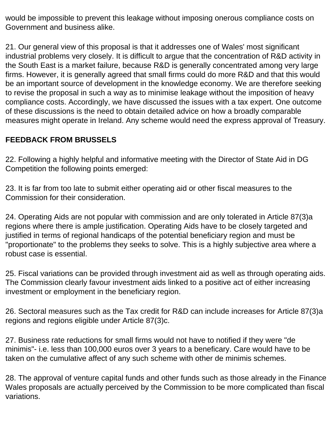would be impossible to prevent this leakage without imposing onerous compliance costs on Government and business alike.

21. Our general view of this proposal is that it addresses one of Wales' most significant industrial problems very closely. It is difficult to argue that the concentration of R&D activity in the South East is a market failure, because R&D is generally concentrated among very large firms. However, it is generally agreed that small firms could do more R&D and that this would be an important source of development in the knowledge economy. We are therefore seeking to revise the proposal in such a way as to minimise leakage without the imposition of heavy compliance costs. Accordingly, we have discussed the issues with a tax expert. One outcome of these discussions is the need to obtain detailed advice on how a broadly comparable measures might operate in Ireland. Any scheme would need the express approval of Treasury.

### **FEEDBACK FROM BRUSSELS**

22. Following a highly helpful and informative meeting with the Director of State Aid in DG Competition the following points emerged:

23. It is far from too late to submit either operating aid or other fiscal measures to the Commission for their consideration.

24. Operating Aids are not popular with commission and are only tolerated in Article 87(3)a regions where there is ample justification. Operating Aids have to be closely targeted and justified in terms of regional handicaps of the potential beneficiary region and must be "proportionate" to the problems they seeks to solve. This is a highly subjective area where a robust case is essential.

25. Fiscal variations can be provided through investment aid as well as through operating aids. The Commission clearly favour investment aids linked to a positive act of either increasing investment or employment in the beneficiary region.

26. Sectoral measures such as the Tax credit for R&D can include increases for Article 87(3)a regions and regions eligible under Article 87(3)c.

27. Business rate reductions for small firms would not have to notified if they were "de minimis"- i.e. less than 100,000 euros over 3 years to a beneficary. Care would have to be taken on the cumulative affect of any such scheme with other de minimis schemes.

28. The approval of venture capital funds and other funds such as those already in the Finance Wales proposals are actually perceived by the Commission to be more complicated than fiscal variations.